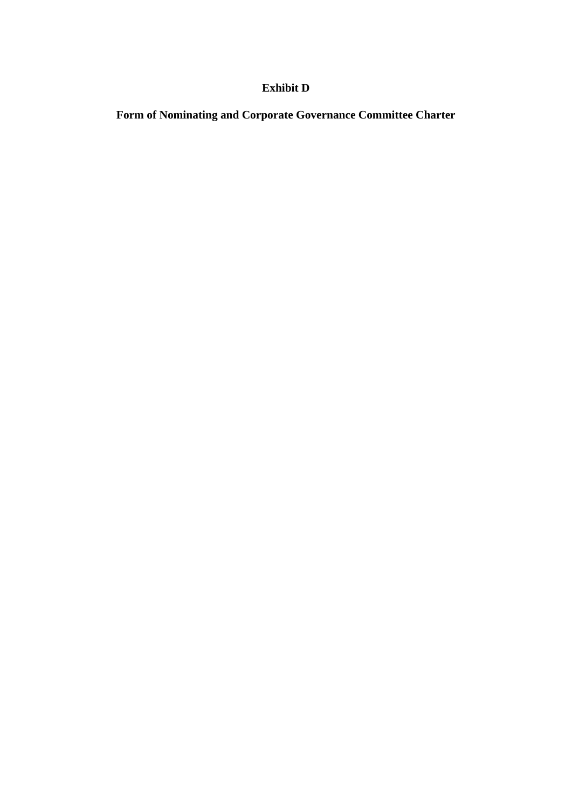# **Exhibit D**

**Form of Nominating and Corporate Governance Committee Charter**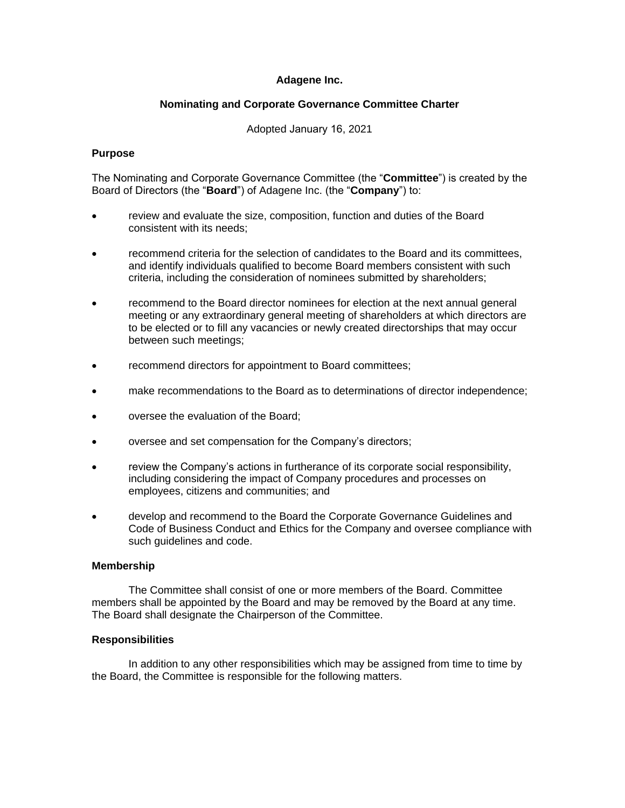## **Adagene Inc.**

## **Nominating and Corporate Governance Committee Charter**

## Adopted January 16, 2021

#### **Purpose**

The Nominating and Corporate Governance Committee (the "**Committee**") is created by the Board of Directors (the "**Board**") of Adagene Inc. (the "**Company**") to:

- review and evaluate the size, composition, function and duties of the Board consistent with its needs;
- recommend criteria for the selection of candidates to the Board and its committees, and identify individuals qualified to become Board members consistent with such criteria, including the consideration of nominees submitted by shareholders;
- recommend to the Board director nominees for election at the next annual general meeting or any extraordinary general meeting of shareholders at which directors are to be elected or to fill any vacancies or newly created directorships that may occur between such meetings;
- recommend directors for appointment to Board committees;
- make recommendations to the Board as to determinations of director independence;
- oversee the evaluation of the Board;
- oversee and set compensation for the Company's directors;
- review the Company's actions in furtherance of its corporate social responsibility, including considering the impact of Company procedures and processes on employees, citizens and communities; and
- develop and recommend to the Board the Corporate Governance Guidelines and Code of Business Conduct and Ethics for the Company and oversee compliance with such guidelines and code.

#### **Membership**

The Committee shall consist of one or more members of the Board. Committee members shall be appointed by the Board and may be removed by the Board at any time. The Board shall designate the Chairperson of the Committee.

#### **Responsibilities**

In addition to any other responsibilities which may be assigned from time to time by the Board, the Committee is responsible for the following matters.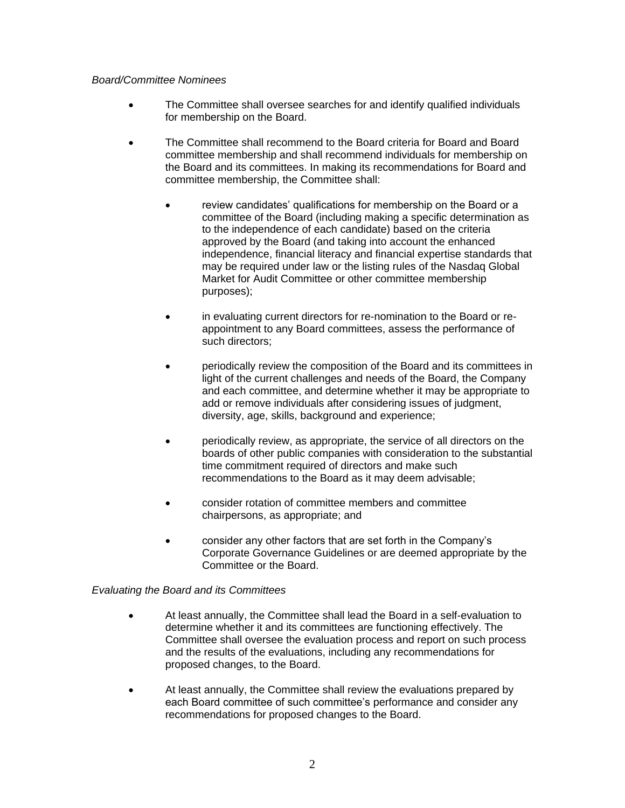## *Board/Committee Nominees*

- The Committee shall oversee searches for and identify qualified individuals for membership on the Board.
- The Committee shall recommend to the Board criteria for Board and Board committee membership and shall recommend individuals for membership on the Board and its committees. In making its recommendations for Board and committee membership, the Committee shall:
	- review candidates' qualifications for membership on the Board or a committee of the Board (including making a specific determination as to the independence of each candidate) based on the criteria approved by the Board (and taking into account the enhanced independence, financial literacy and financial expertise standards that may be required under law or the listing rules of the Nasdaq Global Market for Audit Committee or other committee membership purposes);
	- in evaluating current directors for re-nomination to the Board or reappointment to any Board committees, assess the performance of such directors;
	- periodically review the composition of the Board and its committees in light of the current challenges and needs of the Board, the Company and each committee, and determine whether it may be appropriate to add or remove individuals after considering issues of judgment, diversity, age, skills, background and experience;
	- periodically review, as appropriate, the service of all directors on the boards of other public companies with consideration to the substantial time commitment required of directors and make such recommendations to the Board as it may deem advisable;
	- consider rotation of committee members and committee chairpersons, as appropriate; and
	- consider any other factors that are set forth in the Company's Corporate Governance Guidelines or are deemed appropriate by the Committee or the Board.

# *Evaluating the Board and its Committees*

- At least annually, the Committee shall lead the Board in a self-evaluation to determine whether it and its committees are functioning effectively. The Committee shall oversee the evaluation process and report on such process and the results of the evaluations, including any recommendations for proposed changes, to the Board.
- At least annually, the Committee shall review the evaluations prepared by each Board committee of such committee's performance and consider any recommendations for proposed changes to the Board.